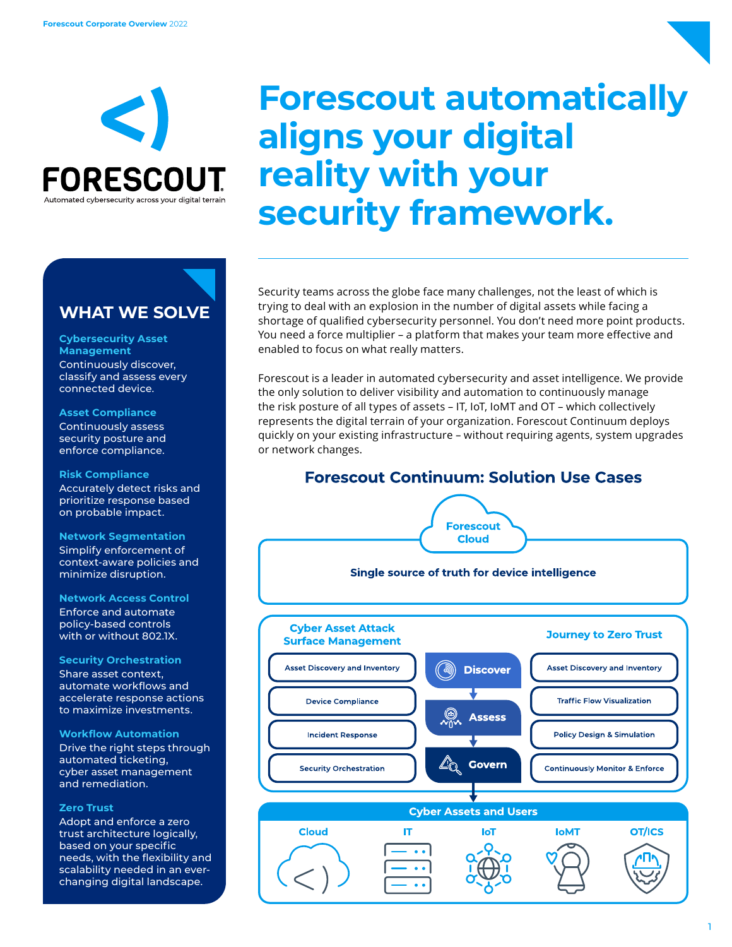

## **Forescout automatically aligns your digital reality with your security framework.**

Security teams across the globe face many challenges, not the least of which is trying to deal with an explosion in the number of digital assets while facing a shortage of qualified cybersecurity personnel. You don't need more point products. You need a force multiplier – a platform that makes your team more effective and enabled to focus on what really matters.

Forescout is a leader in automated cybersecurity and asset intelligence. We provide the only solution to deliver visibility and automation to continuously manage the risk posture of all types of assets – IT, IoT, IoMT and OT – which collectively represents the digital terrain of your organization. Forescout Continuum deploys quickly on your existing infrastructure – without requiring agents, system upgrades or network changes.



### **WHAT WE SOLVE**

#### **Cybersecurity Asset Management** Continuously discover,

classify and assess every connected device.

#### **Asset Compliance**

Continuously assess security posture and enforce compliance.

#### **Risk Compliance**

Accurately detect risks and prioritize response based on probable impact.

#### **Network Segmentation**

Simplify enforcement of context-aware policies and minimize disruption.

#### **Network Access Control**

Enforce and automate policy-based controls with or without 802.1X.

#### **Security Orchestration**

Share asset context, automate workflows and accelerate response actions to maximize investments.

#### **Workflow Automation**

Drive the right steps through automated ticketing, cyber asset management and remediation.

#### **Zero Trust**

Adopt and enforce a zero trust architecture logically, based on your specific needs, with the flexibility and scalability needed in an everchanging digital landscape.